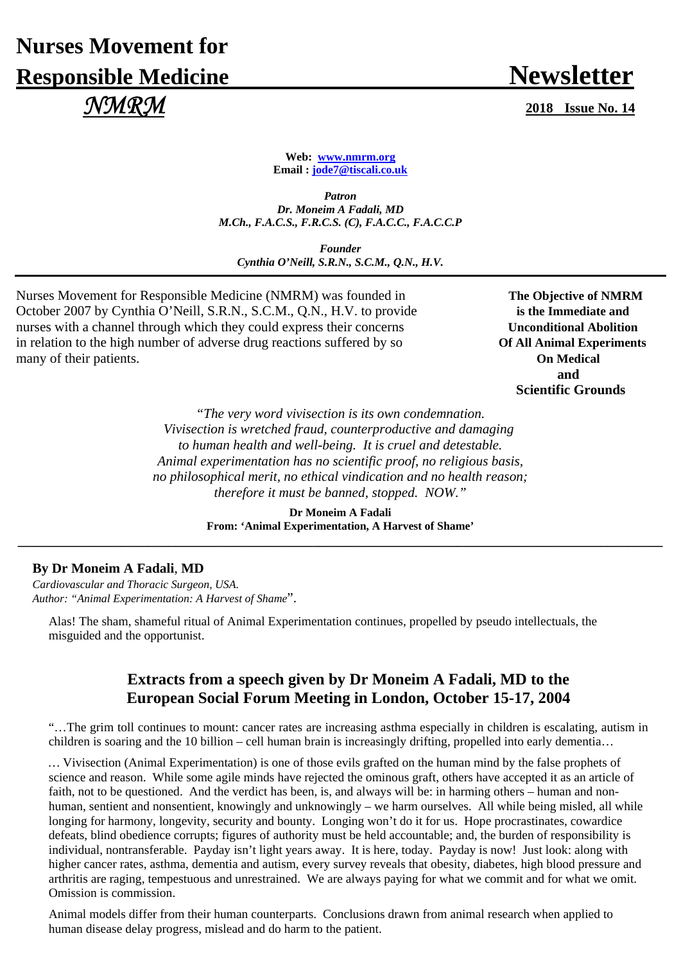# **Nurses Movement for Responsible Medicine Newsletter**  *NMRM* **2018 Issue No. 14**

**Web: www.nmrm.org Email : jode7@tiscali.co.uk** 

*Patron Dr. Moneim A Fadali, MD M.Ch., F.A.C.S., F.R.C.S. (C), F.A.C.C., F.A.C.C.P* 

*Founder Cynthia O'Neill, S.R.N., S.C.M., Q.N., H.V.*

Nurses Movement for Responsible Medicine (NMRM) was founded in **The Objective of NMRM** October 2007 by Cynthia O'Neill, S.R.N., S.C.M., Q.N., H.V. to provide **is the Immediate and** nurses with a channel through which they could express their concerns **Unconditional Abolition** in relation to the high number of adverse drug reactions suffered by so **Of All Animal Experiments** many of their patients. **On Medical** 

**and and and Scientific Grounds** 

> *"The very word vivisection is its own condemnation. Vivisection is wretched fraud, counterproductive and damaging to human health and well-being. It is cruel and detestable. Animal experimentation has no scientific proof, no religious basis, no philosophical merit, no ethical vindication and no health reason; therefore it must be banned, stopped. NOW."*

**Dr Moneim A Fadali From: 'Animal Experimentation, A Harvest of Shame' \_\_\_\_\_\_\_\_\_\_\_\_\_\_\_\_\_\_\_\_\_\_\_\_\_\_\_\_\_\_\_\_\_\_\_\_\_\_\_\_\_\_\_\_\_\_\_\_\_\_\_\_\_\_\_\_\_\_\_\_\_\_\_\_\_\_\_\_\_\_\_\_\_\_\_\_\_\_\_\_\_\_\_\_\_\_\_\_\_\_\_\_\_\_**

### **By Dr Moneim A Fadali**, **MD**

*Cardiovascular and Thoracic Surgeon, USA. Author: "Animal Experimentation: A Harvest of Shame*".

Alas! The sham, shameful ritual of Animal Experimentation continues, propelled by pseudo intellectuals, the misguided and the opportunist.

## **Extracts from a speech given by Dr Moneim A Fadali, MD to the European Social Forum Meeting in London, October 15-17, 2004**

"…The grim toll continues to mount: cancer rates are increasing asthma especially in children is escalating, autism in children is soaring and the 10 billion – cell human brain is increasingly drifting, propelled into early dementia…

*…* Vivisection (Animal Experimentation) is one of those evils grafted on the human mind by the false prophets of science and reason. While some agile minds have rejected the ominous graft, others have accepted it as an article of faith, not to be questioned. And the verdict has been, is, and always will be: in harming others – human and nonhuman, sentient and nonsentient, knowingly and unknowingly – we harm ourselves. All while being misled, all while longing for harmony, longevity, security and bounty. Longing won't do it for us. Hope procrastinates, cowardice defeats, blind obedience corrupts; figures of authority must be held accountable; and, the burden of responsibility is individual, nontransferable. Payday isn't light years away. It is here, today. Payday is now! Just look: along with higher cancer rates, asthma, dementia and autism, every survey reveals that obesity, diabetes, high blood pressure and arthritis are raging, tempestuous and unrestrained. We are always paying for what we commit and for what we omit. Omission is commission.

Animal models differ from their human counterparts. Conclusions drawn from animal research when applied to human disease delay progress, mislead and do harm to the patient.